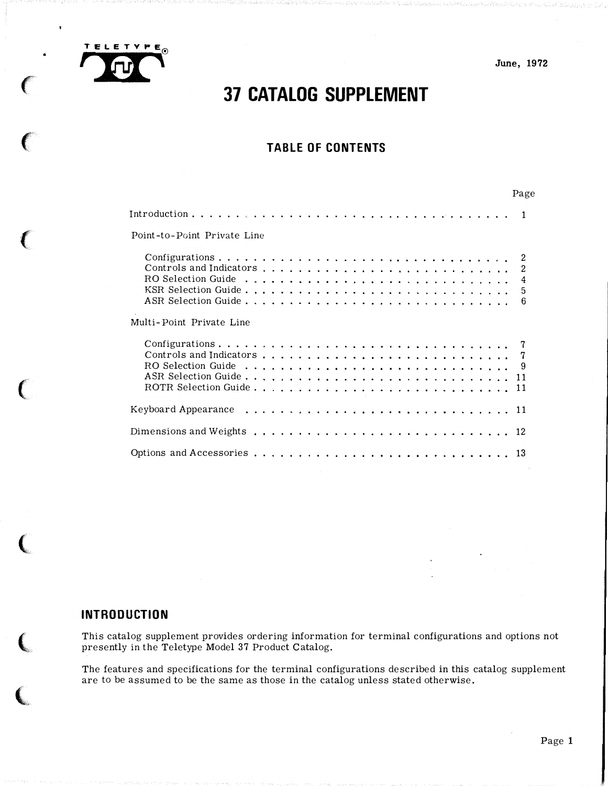

 $\bullet$ 

 $\sqrt{2}$ 

ſ

June, 1972

# 37 CATALOG SUPPLEMENT

# TABLE OF CONTENTS

| Page                        |  |
|-----------------------------|--|
|                             |  |
| Point-to-Point Private Line |  |
| -6                          |  |
| Multi-Point Private Line    |  |
|                             |  |
|                             |  |
|                             |  |
|                             |  |

# INTRODUCTION

(1992) 22-454-2

This catalog supplement provides ordering information for terminal configurations and options not presently in the Teletype Model 37 Product Catalog.

The features and specifications for the terminal configurations described in this catalog supplement are to be assumed to be the same as those in the catalog unless stated otherwise.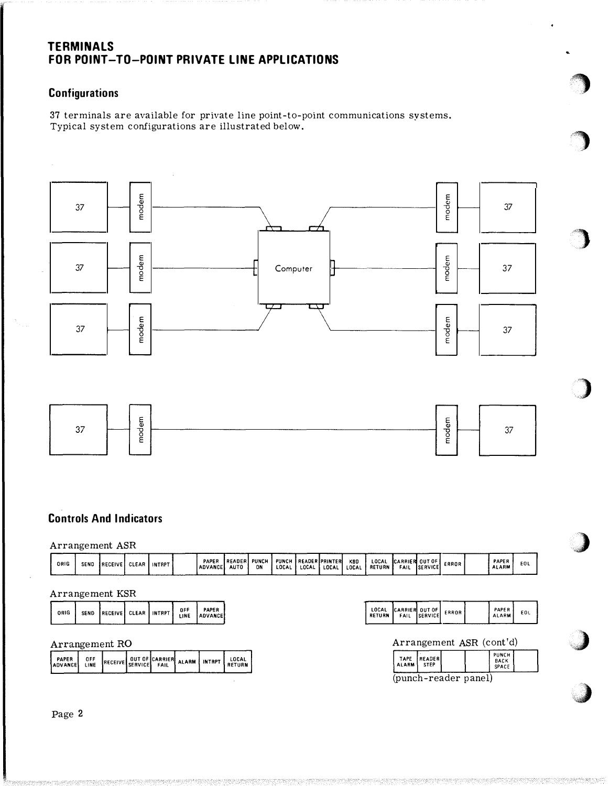# TERMINALS FOR POINT-TO-POINT PRIVATE LINE APPLICATIONS

# **Configurations**

37 terminals are available for private line point-to-point communications systems. Typical system configurations are illustrated below.





# Controls And Indicators

# Arrangement ASR

| ORIG | SEND | <b>IRECEIVE</b> | CLEAR | INTRPT, | PAPER<br><b>ADVANCE</b> | IREADERI PUNCH<br>AUTO | ON | <b>PUNCH</b><br>LOCAL | <b>READER PRINTER</b><br>LOCAL | LOCA | KBD<br><b>LOCAL</b> | LOCAL<br><b>RETURN</b> | <b>CARRIER</b><br>FAIL | <b>OUT OF</b><br><b>ISERVICE</b> | ERROR | PAPER<br><b>ALARM</b> | EOL |  |
|------|------|-----------------|-------|---------|-------------------------|------------------------|----|-----------------------|--------------------------------|------|---------------------|------------------------|------------------------|----------------------------------|-------|-----------------------|-----|--|

# Arrangement KSR

|  | ORIG |  | SEND RECEIVE CLEAR INTRPT |  |  |  | OFF ADVANCE |
|--|------|--|---------------------------|--|--|--|-------------|
|--|------|--|---------------------------|--|--|--|-------------|

# Arrangement RO

|  | PAPER<br>ADVANCE LINE | OFF |  |  |  |  | RECEIVE SERVICE FAIL ALARM INTRPT RETURN |  |
|--|-----------------------|-----|--|--|--|--|------------------------------------------|--|
|--|-----------------------|-----|--|--|--|--|------------------------------------------|--|

| LOCAL<br>RETURN                                                                       | CARRIER OUT OF |  | ERROR |  | PAPER<br><b>ALARM</b>    | EOL |  |  |  |  |
|---------------------------------------------------------------------------------------|----------------|--|-------|--|--------------------------|-----|--|--|--|--|
|                                                                                       |                |  |       |  | Arrangement ASR (cont'd) |     |  |  |  |  |
| PUNCH<br>READER<br>TAPE<br><b>BACK</b><br><b>STEP</b><br><b>ALARM</b><br><b>SPACE</b> |                |  |       |  |                          |     |  |  |  |  |
| (punch-reader panel)                                                                  |                |  |       |  |                          |     |  |  |  |  |



'� ··,.J

 $\mathbf{)}$ 

,

,,

"'}

)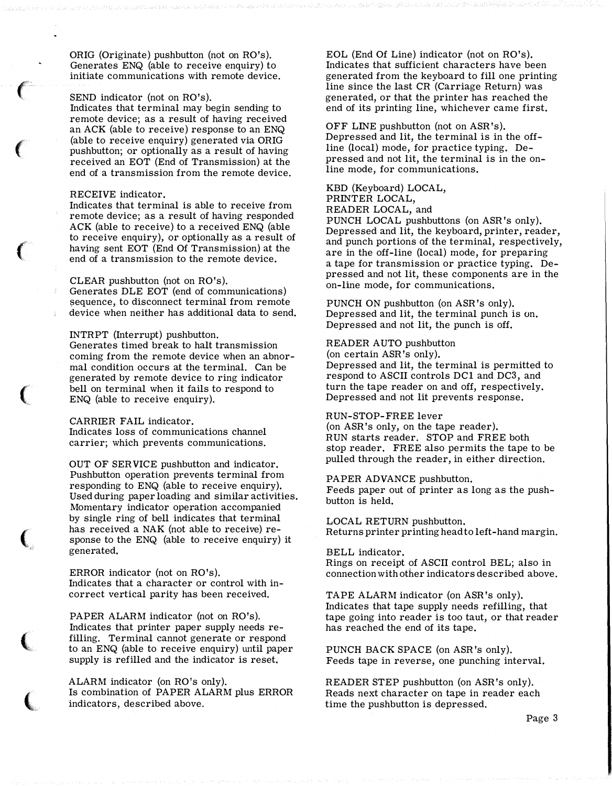ORIG (Originate) pushbutton (not on RO's). Generates ENQ (able to receive enquiry) to initiate communications with remote device.

# SEND indicator (not on RO's).

Indicates that terminal may begin sending to remote device; as a result of having received an ACK (able to receive) response to an ENQ (able to receive enquiry) generated via ORIG pushbutton; or optionally as a result of having received an EOT (End of Transmission) at the end of a transmission from the remote device.

#### RECEIVE indicator.

 $\epsilon$ 

 $\big($ 

 $\big($ 

'

 $\big($ 

(

 $\big($ 

Indicates that terminal is able to receive from remote device; as a result of having responded ACK (able to receive) to a received ENQ (able to receive enquiry), or optionally as a result of having sent EOT (End Of Transmission) at the end of a transmission to the remote device.

#### CLEAR pushbutton (not on RO's).

Generates DLE EOT (end of communications) sequence, to disconnect terminal from remote device when neither has additional data to send.

#### INTRPT (Interrupt) pushbutton.

Generates timed break to halt transmission coming from the remote device when an abnormal condition occurs at the terminal. Can be generated by remote device to ring indicator bell on terminal when it fails to respond to ENQ (able to receive enquiry).

## CARRIER FAIL indicator.

Indicates loss of communications channel carrier; which prevents communications.

OUT OF SERVICE pushbutton and indicator. Pushbutton operation prevents terminal from responding to ENQ (able to receive enquiry). Used during paper loading and similar activities. Momentary indicator operation accompanied by single ring of bell indicates that terminal has received a NAK (not able to receive) response to the ENQ (able to receive enquiry) it generated.

ERROR indicator (not on RO's). Indicates that a character or control with incorrect vertical parity has been received.

PAPER ALARM indicator (not on RO's). Indicates that printer paper supply needs refilling. Terminal cannot generate or respond to an ENQ (able to receive enquiry) until paper supply is refilled and the indicator is reset.

ALARM indicator (on RO's only). Is combination of PAPER ALARM plus ERROR indicators, described above.

EOL (End Of Line) indicator (not on RO's). Indicates that sufficient characters have been generated from the keyboard to fill one printing line since the last CR (Carriage Return) was generated, or that the printer has reached the end of its printing line, whichever came first.

OFF LINE pushbutton (not on ASR's). Depressed and lit, the terminal is in the offline (local) mode, for practice typing. Depressed and not lit, the terminal is in the online mode, for communications.

## KBD (Keyboard) LOCAL, PRINTER LOCAL, READER LOCAL, and

PUNCH LOCAL pushbuttons (on ASR 's only). Depressed and lit, the keyboard, printer, reader, and punch portions of the terminal, respectively, are in the off-line (local) mode, for preparing a tape for transmission or practice typing. Depressed and not lit, these components are in the on-line mode, for communications.

PUNCH ON pushbutton (on ASR's only). Depressed and lit, the terminal punch is on. Depressed and not lit, the punch is off.

#### READER AUTO pushbutton

(on certain ASR 's only).

Depressed and lit, the terminal is permitted to respond to ASCII controls DCl and DC3, and turn the tape reader on and off, respectively. Depressed and not lit prevents response.

# RUN-STOP-FREE lever

(on ASR's only, on the tape reader). RUN starts reader. STOP and FREE both stop reader. FREE also permits the tape to be pulled through the reader, in either direction.

PAPER ADVANCE pushbutton. Feeds paper out of printer as long as the pushbutton is held.

LOCAL RETURN pushbutton. Returns printer printing head to left-hand margin.

BELL indicator. Rings on receipt of ASCII control BEL; also in connection with other indicators described above.

TAPE ALARM indicator (on ASR's only). Indicates that tape supply needs refilling, that tape going into reader is too taut, or that reader has reached the end of its tape.

PUNCH BACK SPACE (on ASR 's only). Feeds tape in reverse, one punching interval.

READER STEP pushbutton (on ASR's only). Reads next character on tape in reader each time the pushbutton is depressed.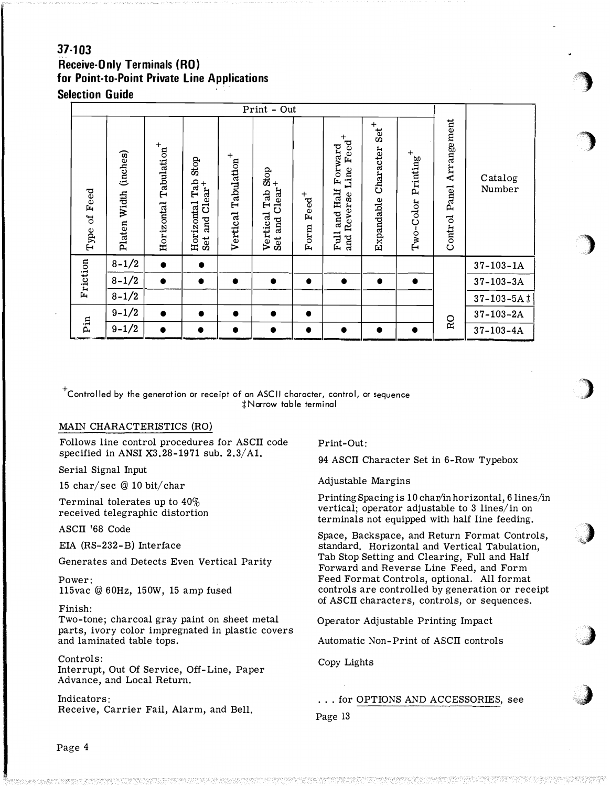# $37 - 103$ **Receive-Only Terminals (RO)** for Point-to-Point Private Line Applications **Selection Guide**

| Feed<br>ð<br>Type | (inches)<br>Platen Width | $\mathrm{Ta}$ bulation $^+$<br>Horizontal | Stop<br>Tab<br>$Clear+$<br>Horizontal<br>and<br>Set | $\mathrm{Ta}$ bulation $^+$<br>Vertical | $\therefore$ and Clear <sup>+</sup><br>$\therefore$ and Clear <sup>+</sup><br>Vertical<br>Set | $\mathrm{Feed}^+$<br>Form | $\mathrm{Feed}^+$<br>Forward<br>Line<br>and Half<br>Reverse<br>Full<br>and | $\operatorname{Set}^+$<br>Character<br>Expandable | $\mathbf{Printing}^{+}$<br>Two-Color | Arrangement<br>Panel<br>Control | Catalog<br>Number |
|-------------------|--------------------------|-------------------------------------------|-----------------------------------------------------|-----------------------------------------|-----------------------------------------------------------------------------------------------|---------------------------|----------------------------------------------------------------------------|---------------------------------------------------|--------------------------------------|---------------------------------|-------------------|
|                   | $8 - 1/2$                | $\bullet$                                 | $\bullet$                                           |                                         |                                                                                               |                           |                                                                            |                                                   |                                      |                                 | $37 - 103 - 1A$   |
| Friction          | $8 - 1/2$                | $\bullet$                                 | $\bullet$                                           | $\bullet$                               | $\bullet$                                                                                     | $\bullet$                 | $\bullet$                                                                  | $\bullet$                                         | $\bullet$                            |                                 | $37 - 103 - 3A$   |
|                   | $8 - 1/2$                |                                           |                                                     |                                         |                                                                                               |                           |                                                                            |                                                   |                                      |                                 | $37 - 103 - 5A$ # |
|                   | $9 - 1/2$                | $\bullet$                                 | $\bullet$                                           | $\bullet$                               | $\bullet$                                                                                     | $\bullet$                 |                                                                            |                                                   |                                      |                                 | $37 - 103 - 2A$   |
| Pin               | $9 - 1/2$                | $\bullet$                                 | $\bullet$                                           |                                         | $\bullet$                                                                                     | $\bullet$                 | $\bullet$                                                                  | ●                                                 |                                      | RO                              | $37-103-4A$       |

 $^\mathrm{+}$ Controlled by the generation or receipt of an ASCII character, control, or sequence #Narrow table terminal

# MAIN CHARACTERISTICS (RO)

Follows line control procedures for ASCII code specified in ANSI  $X3.28-1971$  sub.  $2.3/A1$ .

Serial Signal Input

15 char/sec @ 10 bit/char

Terminal tolerates up to  $40\%$ received telegraphic distortion

ASCII '68 Code

EIA (RS-232-B) Interface

Generates and Detects Even Vertical Parity

Power: 115vac @ 60Hz, 150W, 15 amp fused

# Finish:

Two-tone; charcoal gray paint on sheet metal parts, ivory color impregnated in plastic covers and laminated table tops.

# Controls:

Interrupt, Out Of Service, Off-Line, Paper Advance, and Local Return.

# Indicators:

Receive, Carrier Fail, Alarm, and Bell.

Print-Out:

94 ASCII Character Set in 6-Row Typebox

Adjustable Margins

Printing Spacing is 10 char/in horizontal, 6 lines/in vertical; operator adjustable to 3 lines/in on terminals not equipped with half line feeding.

Space, Backspace, and Return Format Controls, standard. Horizontal and Vertical Tabulation, Tab Stop Setting and Clearing, Full and Half Forward and Reverse Line Feed, and Form Feed Format Controls, optional. All format controls are controlled by generation or receipt of ASCII characters, controls, or sequences.

Operator Adjustable Printing Impact

Automatic Non-Print of ASCII controls

Copy Lights

... for OPTIONS AND ACCESSORIES, see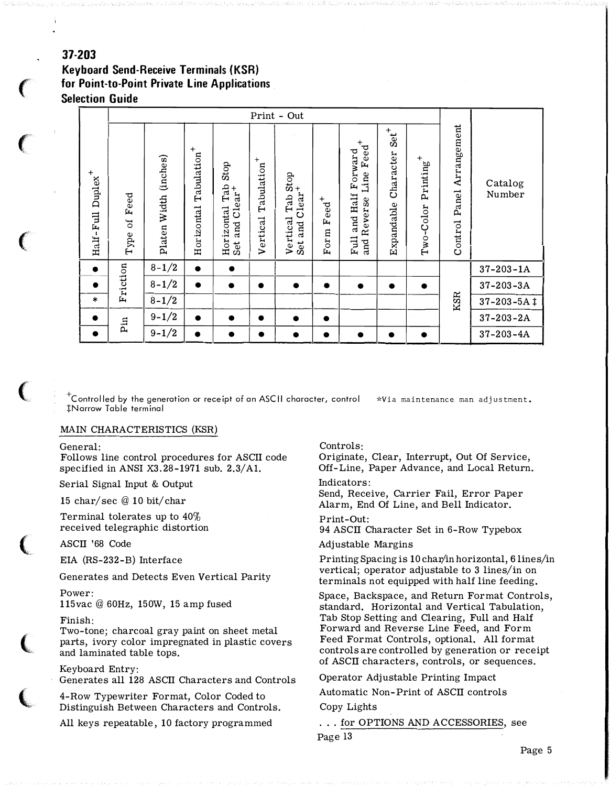# 37-203

**Keyboard Send-Receive Terminals (KSR)** for Point-to-Point Private Line Applications **Selection Guide** 

|                               |                            |                       |                                       |                                                      |                                     | Print - Out                                             |                           |                                                                            |                                                |                           |                                 |                   |
|-------------------------------|----------------------------|-----------------------|---------------------------------------|------------------------------------------------------|-------------------------------------|---------------------------------------------------------|---------------------------|----------------------------------------------------------------------------|------------------------------------------------|---------------------------|---------------------------------|-------------------|
| ${\bf Duplex}^+$<br>Half-Full | Feed<br>ð<br>$_{\rm Type}$ | Platen Width (inches) | Tabulation <sup>+</sup><br>Horizontal | Stop<br>Tab<br>$Clear+$<br>Horizontal<br>and<br>Set. | Tabulation <sup>+</sup><br>Vertical | an Stop<br>Clear <sup>+</sup><br>Vertical<br>and<br>Set | $\mathrm{Feed}^+$<br>Form | $\mathrm{Feed}^+$<br>Forward<br>Line<br>and Half<br>Reverse<br>Full<br>and | $s$ et <sup>+</sup><br>Character<br>Expandable | $Printing^+$<br>Two-Color | Arrangement<br>Panel<br>Control | Catalog<br>Number |
| $\bullet$                     |                            | $8 - 1/2$             | $\bullet$                             | $\bullet$                                            |                                     |                                                         |                           |                                                                            |                                                |                           |                                 | $37 - 203 - 1A$   |
| $\bullet$                     | Friction                   | $8 - 1/2$             | $\bullet$                             | $\bullet$                                            | $\bullet$                           | $\bullet$                                               |                           | $\bullet$                                                                  | $\bullet$                                      | $\bullet$                 |                                 | $37 - 203 - 3A$   |
| $\ast$                        |                            | $8 - 1/2$             |                                       |                                                      |                                     |                                                         |                           |                                                                            |                                                |                           | KSR                             | $37 - 203 - 5A$ ‡ |
| $\bullet$                     | Pin                        | $9 - 1/2$             | $\bullet$                             | $\bullet$                                            | $\bullet$                           | $\bullet$                                               | $\bullet$                 |                                                                            |                                                |                           |                                 | $37 - 203 - 2A$   |
| $\bullet$                     |                            | $9 - 1/2$             | $\bullet$                             | ●                                                    | $\bullet$                           |                                                         |                           | $\bullet$                                                                  | $\bullet$                                      |                           |                                 | $37 - 203 - 4A$   |

 $\mathrm{^{\mathrm{\tau}}}$ Controlled by the generation or receipt of an ASCII character, control \*Via maintenance man adjustment. #Narrow Table terminal

## MAIN CHARACTERISTICS (KSR)

General:

Follows line control procedures for ASCII code specified in ANSI  $X3.28-1971$  sub.  $2.3/A1$ .

Serial Signal Input & Output

15 char/sec @ 10 bit/char

Terminal tolerates up to 40% received telegraphic distortion

ASCII '68 Code

EIA (RS-232-B) Interface

Generates and Detects Even Vertical Parity

Power: 115 vac @ 60Hz, 150W, 15 amp fused

#### Finish:

Two-tone; charcoal gray paint on sheet metal parts, ivory color impregnated in plastic covers and laminated table tops.

Keyboard Entry: Generates all 128 ASCII Characters and Controls

4-Row Typewriter Format, Color Coded to Distinguish Between Characters and Controls.

All keys repeatable, 10 factory programmed

#### Controls:

Originate, Clear, Interrupt, Out Of Service, Off-Line, Paper Advance, and Local Return.

#### Indicators:

Send, Receive, Carrier Fail, Error Paper Alarm, End Of Line, and Bell Indicator.

Print-Out:

94 ASCII Character Set in 6-Row Typebox

## Adjustable Margins

Printing Spacing is 10 char/in horizontal, 6 lines/in vertical; operator adjustable to 3 lines/in on terminals not equipped with half line feeding.

Space, Backspace, and Return Format Controls, standard. Horizontal and Vertical Tabulation, Tab Stop Setting and Clearing, Full and Half Forward and Reverse Line Feed, and Form Feed Format Controls, optional. All format controls are controlled by generation or receipt of ASCII characters, controls, or sequences.

Operator Adjustable Printing Impact

Automatic Non-Print of ASCII controls

# Copy Lights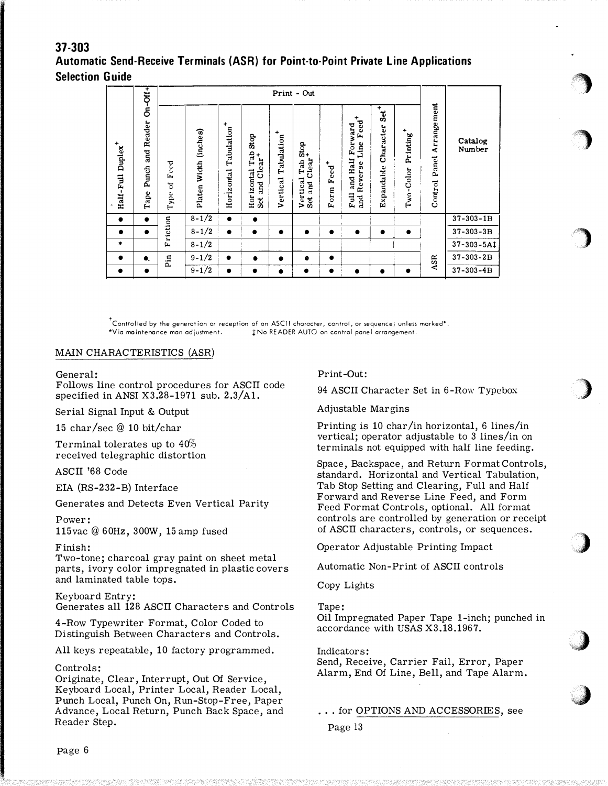# $37 - 303$ **Automatic Send-Receive Terminals (ASR) for Point-to-Point Private Line Applications Selection Guide**

|                               | $Gn-Gt$                                |                                         |                                                |                                       |                                                                           |                             | Print - Out                                    |                                                              |                                                             |                                    |                           |                                 |                   |
|-------------------------------|----------------------------------------|-----------------------------------------|------------------------------------------------|---------------------------------------|---------------------------------------------------------------------------|-----------------------------|------------------------------------------------|--------------------------------------------------------------|-------------------------------------------------------------|------------------------------------|---------------------------|---------------------------------|-------------------|
| Half-Full Duplex <sup>+</sup> | Reader<br>ă<br>Punch<br>$_{\rm{Tape}}$ | Feed<br>$\mathbb{I}^{\text{c}}$<br>Туре | $($ inches $)$<br>Width<br>Platen <sup>'</sup> | Tabulation <sup>+</sup><br>Horizontal | Stop<br>tal Tab<br>Clear <sup>+</sup><br>Horizontal<br><b>Pure</b><br>Sct | ٠<br>Tabulation<br>Vertical | Stop<br>Clear<br>Tab<br>Vertical<br>and<br>Set | $\mathbf{F}\mathbf{e}\mathbf{e}\mathbf{d}^{\dagger}$<br>Form | Feed<br>Forward<br>Line<br>and Half<br>Reverse<br>Full<br>ă | $sec^+$<br>Character<br>Expandable | $Printing^+$<br>Two-Color | Arrangement<br>Panel<br>Control | Catalog<br>Number |
| $\bullet$                     | $\bullet$                              |                                         | $8 - 1/2$                                      | $\bullet$                             | $\bullet$                                                                 |                             |                                                |                                                              |                                                             |                                    |                           |                                 | $37 - 303 - 1B$   |
| $\bullet$                     | $\bullet$                              | Friction                                | $8 - 1/2$                                      |                                       | $\bullet$                                                                 | $\bullet$                   | $\bullet$                                      | $\bullet$                                                    |                                                             | $\bullet$                          | $\bullet$                 |                                 | $37 - 303 - 3B$   |
| *                             |                                        |                                         | $8 - 1/2$                                      |                                       |                                                                           |                             |                                                |                                                              |                                                             |                                    |                           |                                 | $37 - 303 - 5A1$  |
| $\bullet$                     | $\bullet$                              | Pin                                     | $9 - 1/2$                                      | $\bullet$                             | ٠                                                                         | $\bullet$                   | $\bullet$                                      | $\bullet$                                                    |                                                             |                                    |                           | ASR                             | $37 - 303 - 2B$   |
| $\bullet$                     | $\bullet$                              |                                         | $9 - 1/2$                                      | $\bullet$                             | $\bullet$                                                                 | ٠                           | $\bullet$                                      | $\bullet$                                                    |                                                             |                                    | $\bullet$                 |                                 | $37 - 303 - 4B$   |

 $^\tau$ Controlled by the generation or reception of an ASCII character, control, or sequence; unless marked\*. \*Via maintenance man adjustment. #No READER AUTO on control panel arrangement.

# MAIN CHARACTERISTICS (ASR)

#### General:

Follows line control procedures for ASCII code specified in ANSI X3.28-1971 sub.  $2.3/A1$ .

Serial Signal Input & Output

15 char/sec  $@$  10 bit/char

Terminal tolerates up to  $40\%$ received telegraphic distortion

ASCII '68 Code

EIA (RS-232-B) Interface

Generates and Detects Even Vertical Parity

Power: 115vac @ 60Hz, 300W, 15 amp fused

# Finish:

Two-tone; charcoal gray paint on sheet metal parts, ivory color impregnated in plastic covers and laminated table tops.

## Keyboard Entry: Generates all 128 ASCII Characters and Controls

4-Row Typewriter Format, Color Coded to Distinguish Between Characters and Controls.

All keys repeatable, 10 factory programmed.

# Controls:

Originate, Clear, Interrupt, Out Of Service, Keyboard Local, Printer Local, Reader Local, Punch Local, Punch On, Run-Stop-Free, Paper Advance, Local Return, Punch Back Space, and Reader Step.

Print-Out:

94 ASCII Character Set in 6-Row Typebox

Adjustable Margins

Printing is 10 char/in horizontal, 6 lines/in vertical; operator adjustable to 3 lines/in on terminals not equipped with half line feeding.

Space, Backspace, and Return Format Controls, standard. Horizontal and Vertical Tabulation, Tab Stop Setting and Clearing, Full and Half Forward and Reverse Line Feed, and Form Feed Format Controls, optional. All format controls are controlled by generation or receipt of ASCII characters, controls, or sequences.

Operator Adjustable Printing Impact

Automatic Non-Print of ASCII controls

Copy Lights

Tape:

Oil Impregnated Paper Tape 1-inch; punched in accordance with USAS X3.18.1967.

Indicators: Send, Receive, Carrier Fail, Error, Paper

Alarm, End Of Line, Bell, and Tape Alarm.

... for OPTIONS AND ACCESSORIES, see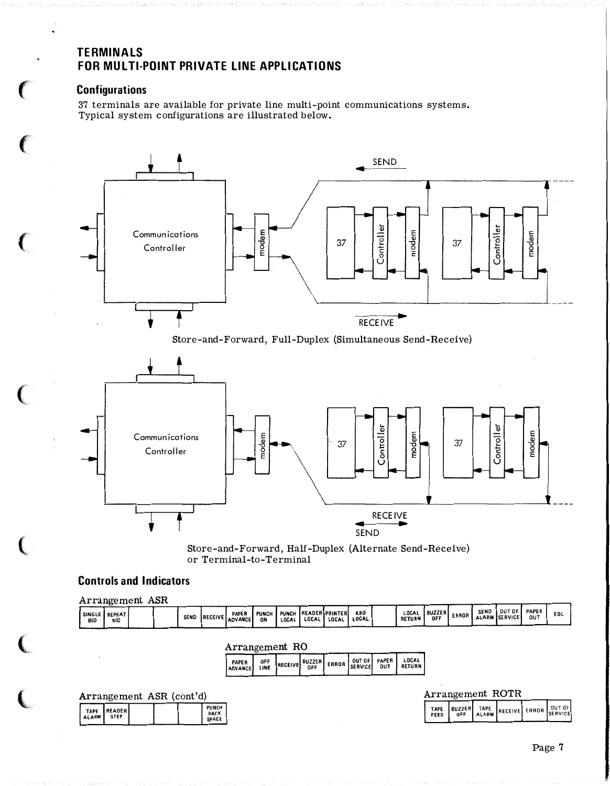# TERMINALS FOR MULTI-POINT PRIVATE LINE APPLICATIONS

# **Configurations**

37 terminals are available for private line multi-point communications systems. Typical system configurations are illustrated below.



Store-and-Forward, Half-Duplex (Alternate Send-Receive) or Terminal-to-Terminal

# Controls and Indicators

 $\overline{a}$ 

|                             | $\texttt{Arrangement}$        | ASH |             |                          |                    |                       |       |                                  |              |                        |                      |              |             |                                       |              |     |
|-----------------------------|-------------------------------|-----|-------------|--------------------------|--------------------|-----------------------|-------|----------------------------------|--------------|------------------------|----------------------|--------------|-------------|---------------------------------------|--------------|-----|
| <b>SINGLE</b><br><b>BID</b> | <b>I REPEAT</b><br><b>BID</b> |     | <b>SEND</b> | PAPER<br>RECEIVE ADVANCE | <b>PUNCH</b><br>ON | <b>PUNCH</b><br>LOCAL | LOCAL | <b>IREADERIPRINTERI</b><br>LOCAL | KBD<br>LOCAL | LOCAL<br><b>RETURN</b> | <b>BUZZER</b><br>OFF | <b>ERROR</b> | <b>SEND</b> | <b>OUT OF</b><br><b>ALARM SERVICE</b> | PAPER<br>OUT | EOL |
|                             |                               |     |             |                          |                    |                       |       |                                  |              |                        |                      |              |             |                                       |              |     |

Arrangement RO

|--|

| Arrangement ASR (cont'd) |  |                               |
|--------------------------|--|-------------------------------|
| TAPE READER              |  | PUNCH<br><b>BACK</b><br>SPACE |

| Arrangement ROTR |  |
|------------------|--|
|                  |  |

| TAPE BUZZER TAPE RECEIVE ERROR SERVICE |  |  |  |  |
|----------------------------------------|--|--|--|--|
|----------------------------------------|--|--|--|--|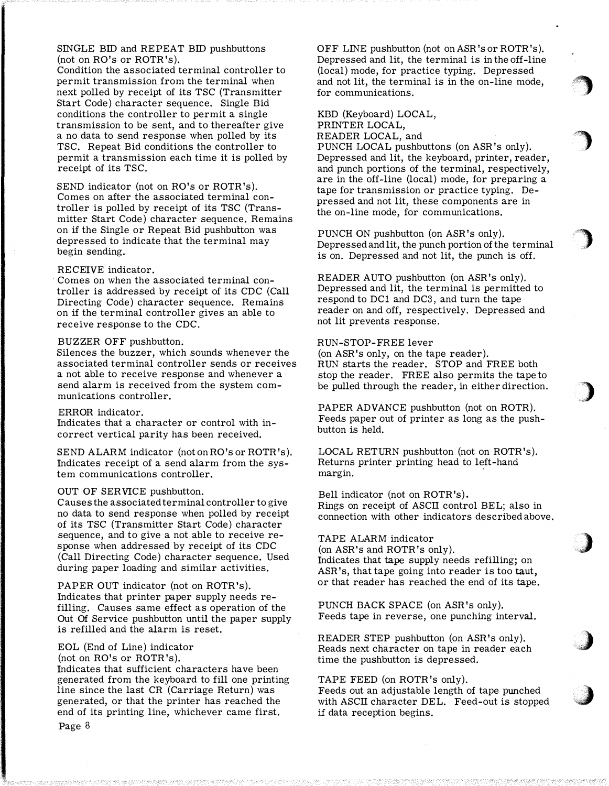# SINGLE BID and REPEAT BID pushbuttons (not on RO's or ROTR's).

Condition the associated terminal controller to permit transmission from the terminal when next polled by receipt of its TSC (Transmitter Start Code) character sequence. Single Bid conditions the controller to permit a single transmission to be sent, and to thereafter give a no data to send response when polled by its TSC. Repeat Bid conditions the controller to permit a transmission each time it is polled by receipt of its TSC.

SEND indicator (not on RO's or ROTR's). Comes on after the associated terminal controller is polled by receipt of its TSC (Transmitter Start Code) character sequence. Remains on if the Single or Repeat Bid pushbutton was depressed to indicate that the terminal may begin sending.

# RECEIVE indicator.

Comes on when the associated terminal controller is addressed by receipt of its CDC (Call Directing Code) character sequence. Remains on if the terminal controller gives an able to receive response to the CDC.

## BUZZER OFF pushbutton.

Silences the buzzer, which sounds whenever the associated terminal controller sends or receives a not able to receive response and whenever a send alarm is received from the system communications controller.

# ERROR indicator.

Indicates that a character or control with incorrect vertical parity has been received.

SEND ALARM indicator (not on RO's or ROTR's). Indicates receipt of a send alarm from the system communications controller.

## OUT OF SERVICE pushbutton.

C auses the associated terminal controller to give no data to send response when polled by receipt of its TSC (Transmitter Start Code) character sequence, and to give a not able to receive response when addressed by receipt of its CDC (Call Directing Code) character sequence. Used during paper loading and similar activities.

PAPER OUT indicator (not on ROTR's). Indicates that printer paper supply needs refilling. Causes same effect as operation of the Out Of Service pushbutton until the paper supply is refilled and the alarm is reset.

# EOL (End of Line) indicator

(not on RO's or ROTR 's).

Indicates that sufficient characters have been generated from the keyboard to fill one printing line since the last CR (Carriage Return) was generated, or that the printer has reached the end of its printing line, whichever came first.

0 FF LINE pushbutton (not on ASR 's or ROTR 's ). Depressed and lit, the terminal is in the off-line (local) mode, for practice typing. Depressed and not lit, the terminal is in the on-line mode, for communications.

 $\big)$ 

'')

)

,)

,)

 $\mathcal{L}$ 

KBD (Keyboard) LOCAL, PRINTER LOCAL, READER LOCAL, and PUNCH LOCAL pushbuttons (on ASR's only). Depressed and lit, the keyboard, printer, reader, and punch portions of the terminal, respectively, are in the off-line (local) mode, for preparing a tape for transmission or practice typing. Depressed and not lit, these components are in the on-line mode, for communications.

PUNCH ON pushbutton (on ASR 's only). Depressed and lit, the punch portion of the terminal is on. Depressed and not lit, the punch is off.

READER AUTO pushbutton (on ASR's only). Depressed and lit, the terminal is permitted to respond to DCl and DC3, and turn the tape reader on and off, respectively. Depressed and not lit prevents response.

## RUN-STOP-FREE lever

(on ASR's only, on the tape reader). RUN starts the reader. STOP and FREE both stop the reader. FREE also permits the tape to be pulled through the reader, in either direction.

PAPER ADVANCE pushbutton (not on ROTR). Feeds paper out of printer as long as the pushbutton is held.

LOCAL RETURN pushbutton (not on ROTR's). Returns printer printing head to left-hanci margin.

Bell indicator (not on ROTR 's). Rings on receipt of ASCII control BEL; also in connection with other indicators described above.

# TAPE ALARM indicator

(on ASR's and ROTR's only). Indicates that tape supply needs refilling; on ASR's, that tape going into reader is too taut, or that reader has reached the end of its tape.

PUNCH BACK SPACE (on ASR 's only). Feeds tape in reverse, one punching interval.

READER STEP pushbutton (on ASR's only). Reads next character on tape in reader each time the pushbutton is depressed.

#### TAPE FEED (on ROTR's only).

Feeds out an adjustable length of tape punched with ASCII character DEL. Feed-out is stopped if data reception begins.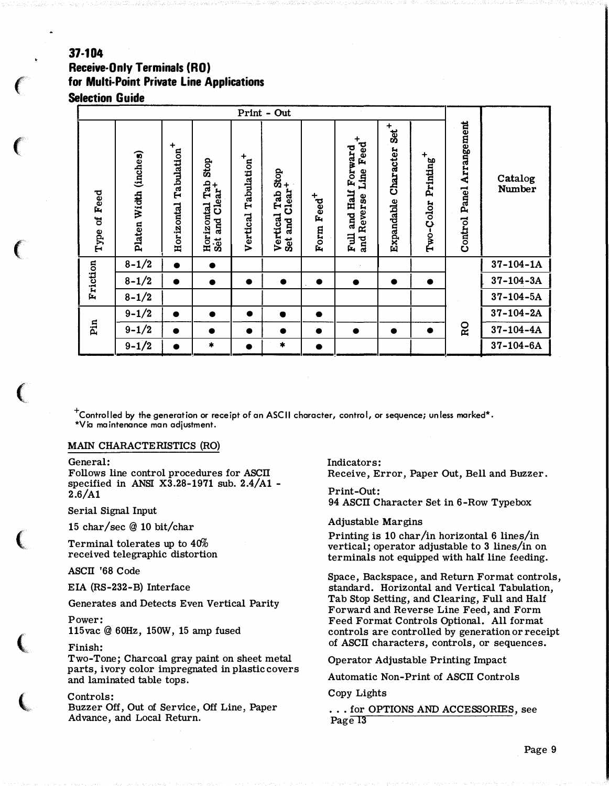# 37-104 **Receive-Only Terminals (RO)** for Multi-Point Private Line Applications **Selection Guide**

| Print - Out        |                       |                                       |                                                                     |                                     |                                                            |                        |                                                                   |                                    |                           |                                 |                   |
|--------------------|-----------------------|---------------------------------------|---------------------------------------------------------------------|-------------------------------------|------------------------------------------------------------|------------------------|-------------------------------------------------------------------|------------------------------------|---------------------------|---------------------------------|-------------------|
| Feed<br>ซี<br>Type | Platen Width (inches) | Tabulation <sup>+</sup><br>Horizontal | Stop<br>ntal Tab!<br>Clear <sup>+</sup><br>Horizontal<br>and<br>Set | Tabulation <sup>+</sup><br>Vertical | Tab Stop<br>$Clear$ <sup>+</sup><br>Vertical<br>and<br>Set | Form Feed <sup>+</sup> | Line Feed <sup>+</sup><br>and Half Forward<br>and Reverse<br>Full | $Set^+$<br>Character<br>Expandable | $Printing^+$<br>Two-Color | Arrangement<br>Panel<br>Control | Catalog<br>Number |
|                    | $8 - 1/2$             | $\bullet$                             | $\bullet$                                                           |                                     |                                                            |                        |                                                                   |                                    |                           |                                 | $37 - 104 - 1A$   |
| Friction           | $8 - 1/2$             | ●                                     | $\bullet$                                                           | $\bullet$                           | $\bullet$                                                  | $\bullet$              | $\bullet$                                                         | $\bullet$                          | $\bullet$                 |                                 | $37 - 104 - 3A$   |
|                    | $8 - 1/2$             |                                       |                                                                     |                                     |                                                            |                        |                                                                   |                                    |                           |                                 | $37-104-5A$       |
|                    | $9 - 1/2$             | $\bullet$                             |                                                                     | $\bullet$                           | $\bullet$                                                  | $\bullet$              |                                                                   |                                    |                           |                                 | $37 - 104 - 2A$   |
| Pin                | $9 - 1/2$             | $\bullet$                             | $\bullet$                                                           | $\bullet$                           | $\bullet$                                                  | $\bullet$              | $\bullet$                                                         | $\bullet$                          | $\bullet$                 | RO                              | $37 - 104 - 4A$   |
|                    | $9 - 1/2$             | ●                                     | $\pmb{\ast}$                                                        | $\bullet$                           | $\pmb{\ast}$                                               |                        |                                                                   |                                    |                           |                                 | $37 - 104 - 6A$   |

 $^+$ Controlled by the generation or receipt of an ASCII character, control, or sequence; unless marked\*. \*Via maintenance man adjustment.

## MAIN CHARACTERISTICS (RO)

#### General:

Follows line control procedures for ASCII specified in ANSI X3.28-1971 sub.  $2.4/A1$  - $2.6/A1$ 

Serial Signal Input

15 char/sec @ 10 bit/char

Terminal tolerates up to 40% received telegraphic distortion

ASCII '68 Code

EIA (RS-232-B) Interface

Generates and Detects Even Vertical Parity

Power:

115 vac @ 60Hz, 150W, 15 amp fused

#### Finish:

Two-Tone; Charcoal gray paint on sheet metal parts, ivory color impregnated in plastic covers and laminated table tops.

## Controls:

Buzzer Off, Out of Service, Off Line, Paper Advance, and Local Return.

Indicators: Receive. Error. Paper Out. Bell and Buzzer.

Print-Out: 94 ASCII Character Set in 6-Row Typebox

## **Adjustable Margins**

Printing is 10 char/in horizontal 6 lines/in vertical; operator adjustable to 3 lines/in on terminals not equipped with half line feeding.

Space, Backspace, and Return Format controls, standard. Horizontal and Vertical Tabulation. Tab Stop Setting, and Clearing, Full and Half Forward and Reverse Line Feed, and Form Feed Format Controls Optional. All format controls are controlled by generation or receipt of ASCII characters, controls, or sequences.

**Operator Adjustable Printing Impact** 

Automatic Non-Print of ASCII Controls

Copy Lights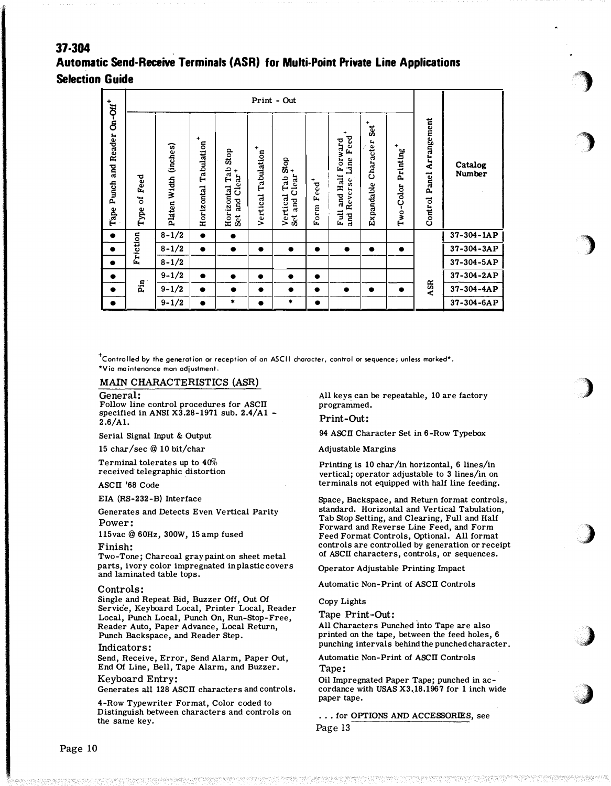# 37-304 Automatic Send-Receive Terminals (ASR) for Multi-Point Private Line Applications **Selection Guide**

|                                                        | Print - Out                                  |                          |                                       |                                                            |                                     |                                                 |                                              |                                                                  |                                          |                                    |                                 |                          |
|--------------------------------------------------------|----------------------------------------------|--------------------------|---------------------------------------|------------------------------------------------------------|-------------------------------------|-------------------------------------------------|----------------------------------------------|------------------------------------------------------------------|------------------------------------------|------------------------------------|---------------------------------|--------------------------|
| Punch and Reader On-Off <sup>+</sup><br>$_{\rm{Tape}}$ | Feed<br>$\mathbf{\tilde{c}}$<br>${\bf Type}$ | (inches)<br>Platen Width | $\ddot{}$<br>Tabulation<br>Horizontal | Stop<br>Tab<br>and Clear <sup>+</sup><br>Horizontal<br>Set | Tabulation <sup>+</sup><br>Vertical | Tab Stop<br>$Clear^+$<br>Vertical<br>and<br>Set | $\text{F}\text{e}\text{e}\text{d}^+$<br>Form | Feed<br>Forward<br>Line<br>Full and Half<br>Reverse<br>nd<br>and | +<br>.<br>Set<br>Character<br>Expandable | Printing <sup>+</sup><br>Two-Color | Arrangement<br>Panel<br>Control | Catalog<br><b>Number</b> |
| $\bullet$                                              |                                              | $8 - 1/2$                | $\bullet$                             | $\bullet$                                                  |                                     |                                                 |                                              |                                                                  |                                          |                                    |                                 | $37 - 304 - 1AP$         |
| $\bullet$                                              | Friction                                     | $8 - 1/2$                | $\bullet$                             | $\bullet$                                                  | $\bullet$                           | $\bullet$                                       |                                              | $\bullet$                                                        |                                          | $\bullet$                          |                                 | $37 - 304 - 3AP$         |
| $\bullet$                                              |                                              | $8 - 1/2$                |                                       |                                                            |                                     |                                                 |                                              |                                                                  |                                          |                                    |                                 | $37 - 304 - 5AP$         |
| $\bullet$                                              |                                              | $9 - 1/2$                | $\bullet$                             | $\bullet$                                                  | $\bullet$                           |                                                 |                                              |                                                                  |                                          |                                    |                                 | 37-304-2AP               |
| $\bullet$                                              | Pin                                          | $9 - 1/2$                | $\bullet$                             | $\bullet$                                                  | $\bullet$                           | $\bullet$                                       | $\bullet$                                    | $\bullet$                                                        | $\bullet$                                | $\bullet$                          | ASR                             | 37-304-4AP               |
|                                                        |                                              | $9 - 1/2$                | $\bullet$                             | *                                                          | $\bullet$                           | *                                               |                                              |                                                                  |                                          |                                    |                                 | $37 - 304 - 6AP$         |

 $^+$ Controlled by the generation or reception of an ASCII character, control or sequence; unless marked\*. \*Via maintenance man adjustment.

#### MAIN CHARACTERISTICS (ASR)

#### General:

Follow line control procedures for ASCII specified in ANSI X3.28-1971 sub.  $2.4/A1 2.6/A1.$ 

Serial Signal Input & Output

15 char/sec @ 10 bit/char

Terminal tolerates up to  $40\%$ received telegraphic distortion

#### $AGCH$ <sup>168</sup> Code

EIA (RS-232-B) Interface

Generates and Detects Even Vertical Parity Power:

115 vac @ 60Hz, 300W, 15 amp fused

#### Finish:

Two-Tone; Charcoal gray paint on sheet metal parts, ivory color impregnated in plastic covers and laminated table tops.

#### Controls:

Single and Repeat Bid, Buzzer Off, Out Of Service, Keyboard Local, Printer Local, Reader Local, Punch Local, Punch On, Run-Stop-Free, Reader Auto, Paper Advance, Local Return, Punch Backspace, and Reader Step.

#### Indicators:

Send, Receive, Error, Send Alarm, Paper Out, End Of Line, Bell, Tape Alarm, and Buzzer.

#### Keyboard Entry:

Generates all 128 ASCII characters and controls.

4-Row Typewriter Format, Color coded to Distinguish between characters and controls on the same key.

All keys can be repeatable, 10 are factory programmed.

#### Print-Out:

94 ASCII Character Set in 6-Row Typebox

**Adjustable Margins** 

Printing is 10 char/in horizontal, 6 lines/in vertical; operator adjustable to 3 lines/in on terminals not equipped with half line feeding.

Space, Backspace, and Return format controls, standard. Horizontal and Vertical Tabulation, Tab Stop Setting, and Clearing, Full and Half Forward and Reverse Line Feed, and Form Feed Format Controls, Optional. All format controls are controlled by generation or receipt of ASCII characters, controls, or sequences.

Operator Adjustable Printing Impact

Automatic Non-Print of ASCII Controls

Copy Lights

Tape Print-Out:

All Characters Punched into Tape are also printed on the tape, between the feed holes, 6 punching intervals behind the punched character.

Automatic Non-Print of ASCII Controls Tape:

Oil Impregnated Paper Tape; punched in accordance with USAS X3.18.1967 for 1 inch wide paper tape.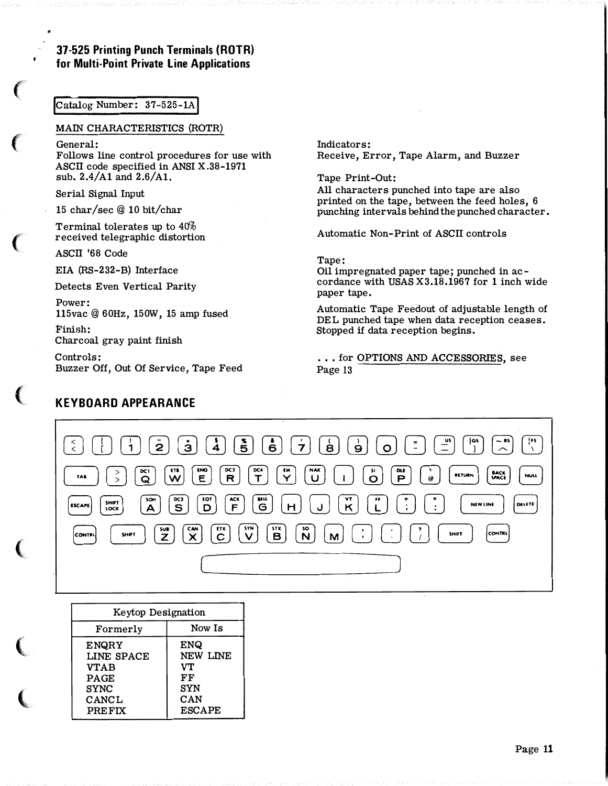# 37-525 Printing Punch Terminals (ROTR) for Multi-Point Private Line Applications

# Catalog Number: 37-525-1A

## MAIN CHARACTERISTICS (ROTR)

General: Follows line control procedures for use with ASCII code specified in ANSI X.38-1971 sub. 2.4/A1 and 2.6/Al.

Serial Signal Input

..

15 char/sec@ 10 bit/char

Terminal tolerates up to 4o% received telegraphic distortion

ASCII '68 Code

**CONTRACTOR** 

**The Contract of Contract of Con-**

EIA (RS-232-B) Interface

Detects Even Vertical Parity

Power: 115vac@ 60Hz, 150W, 15 amp fused Finish:

Charcoal gray paint finish

KEYBOARD APPEARANCE

Controls: Buzzer Off, Out Of Service, Tape Feed Indicators: Receive, Error, Tape Alarm, and Buzzer

Tape Print-Out: All characters punched into tape are also printed on the tape, between the feed holes, 6 punching intervals behind the punched character.

Automatic Non-Print of ASCII controls

# Tape:

Oil impregnated paper tape; punched in accordance with USAS X3.18.1967 for 1 inch wide paper tape.

Automatic Tape Feedout of adjustable length of DEL punched tape when data reception ceases. Stopped if data reception begins.



| Keytop Designation |               |  |  |  |  |
|--------------------|---------------|--|--|--|--|
| Formerly           | Now Is        |  |  |  |  |
| <b>ENQRY</b>       | <b>ENQ</b>    |  |  |  |  |
| LINE SPACE         | NEW LINE      |  |  |  |  |
| <b>VTAB</b>        | VT            |  |  |  |  |
| <b>PAGE</b>        | FF            |  |  |  |  |
| <b>SYNC</b>        | <b>SYN</b>    |  |  |  |  |
| CANCL              | CAN           |  |  |  |  |
| <b>PREFIX</b>      | <b>ESCAPE</b> |  |  |  |  |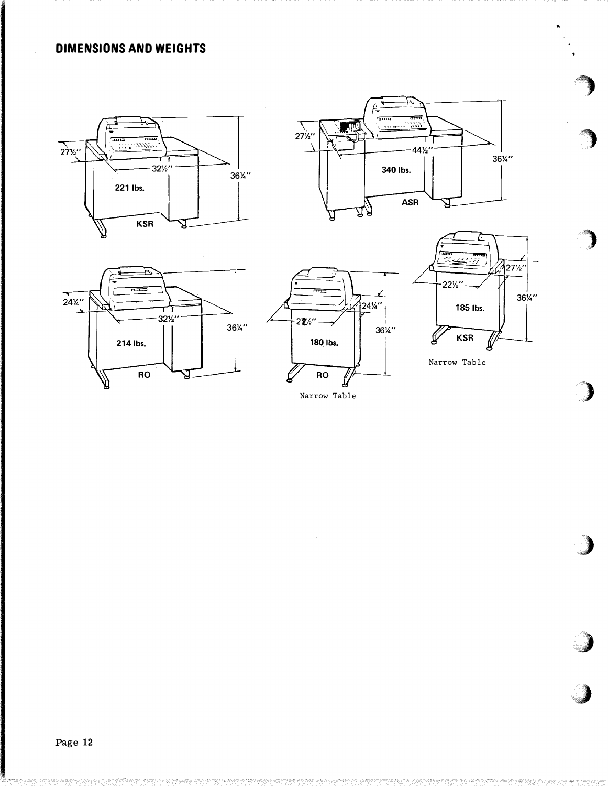# **DIMENSIONS AND WEIGHTS**











Narrow Table